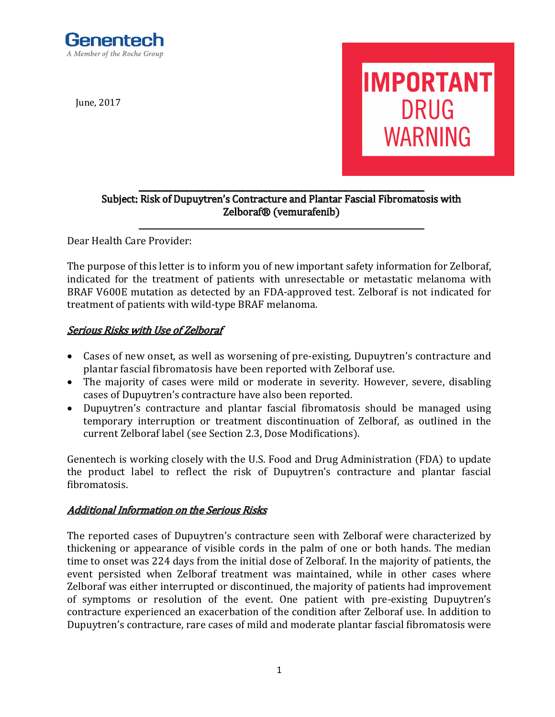

June, 2017



#### ̴̴̴̴̴̴̴̴̴̴̴̴̴̴̴̴̴̴̴̴̴̴̴̴̴̴̴̴̴̴̴̴̴̴̴̴̴̴̴̴̴̴̴̴̴̴̴̴̴̴̴̴̴̴̴̴̴̴̴̴̴̴̴̴̴̴̴̴̴̴̴̴ Subject: Risk of Dupuytren's Contracture and Plantar Fascial Fibromatosis with Zelboraf® (vemurafenib)

̴̴̴̴̴̴̴̴̴̴̴̴̴̴̴̴̴̴̴̴̴̴̴̴̴̴̴̴̴̴̴̴̴̴̴̴̴̴̴̴̴̴̴̴̴̴̴̴̴̴̴̴̴̴̴̴̴̴̴̴̴̴̴̴̴̴̴̴̴̴̴̴

Dear Health Care Provider:

The purpose of this letter is to inform you of new important safety information for Zelboraf, indicated for the treatment of patients with unresectable or metastatic melanoma with BRAF V600E mutation as detected by an FDA-approved test. Zelboraf is not indicated for treatment of patients with wild-type BRAF melanoma.

# Serious Risks with Use of Zelboraf

- Cases of new onset, as well as worsening of pre-existing, Dupuytren's contracture and plantar fascial fibromatosis have been reported with Zelboraf use.
- The majority of cases were mild or moderate in severity. However, severe, disabling cases of Dupuytren's contracture have also been reported.
- Dupuytren's contracture and plantar fascial fibromatosis should be managed using temporary interruption or treatment discontinuation of Zelboraf, as outlined in the current Zelboraf label (see Section 2.3, Dose Modifications).

Genentech is working closely with the U.S. Food and Drug Administration (FDA) to update the product label to reflect the risk of Dupuytren's contracture and plantar fascial fibromatosis.

# **Additional Information on the Serious Risks**

The reported cases of Dupuytren's contracture seen with Zelboraf were characterized by thickening or appearance of visible cords in the palm of one or both hands. The median time to onset was 224 days from the initial dose of Zelboraf. In the majority of patients, the event persisted when Zelboraf treatment was maintained, while in other cases where Zelboraf was either interrupted or discontinued, the majority of patients had improvement of symptoms or resolution of the event. One patient with pre-existing Dupuytren's contracture experienced an exacerbation of the condition after Zelboraf use. In addition to Dupuytren's contracture, rare cases of mild and moderate plantar fascial fibromatosis were